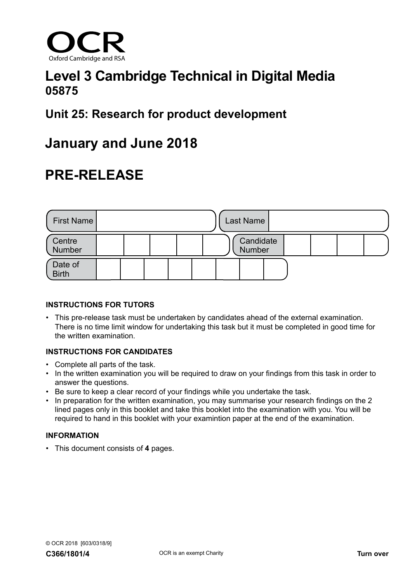

## **Level 3 Cambridge Technical in Digital Media 05875**

## **Unit 25: Research for product development**

## **January and June 2018**

# **PRE-RELEASE**



### **INSTRUCTIONS FOR TUTORS**

• This pre-release task must be undertaken by candidates ahead of the external examination. There is no time limit window for undertaking this task but it must be completed in good time for the written examination.

### **INSTRUCTIONS FOR CANDIDATES**

- Complete all parts of the task.
- In the written examination you will be required to draw on your findings from this task in order to answer the questions.
- Be sure to keep a clear record of your findings while you undertake the task.
- In preparation for the written examination, you may summarise your research findings on the 2 lined pages only in this booklet and take this booklet into the examination with you. You will be required to hand in this booklet with your examintion paper at the end of the examination.

### **INFORMATION**

• This document consists of **4** pages.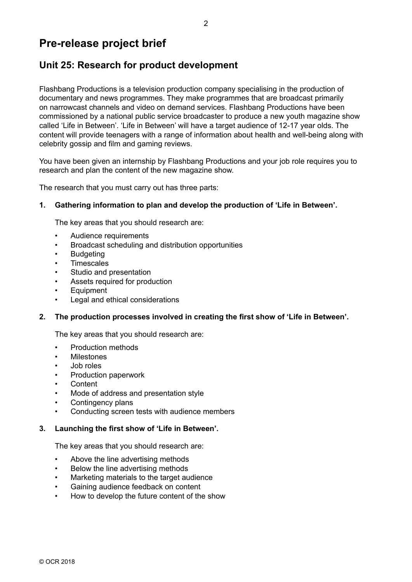### **Pre-release project brief**

### **Unit 25: Research for product development**

Flashbang Productions is a television production company specialising in the production of documentary and news programmes. They make programmes that are broadcast primarily on narrowcast channels and video on demand services. Flashbang Productions have been commissioned by a national public service broadcaster to produce a new youth magazine show called 'Life in Between'. 'Life in Between' will have a target audience of 12-17 year olds. The content will provide teenagers with a range of information about health and well-being along with celebrity gossip and film and gaming reviews.

You have been given an internship by Flashbang Productions and your job role requires you to research and plan the content of the new magazine show.

The research that you must carry out has three parts:

### **1. Gathering information to plan and develop the production of 'Life in Between'.**

The key areas that you should research are:

- Audience requirements
- Broadcast scheduling and distribution opportunities
- Budgeting
- Timescales
- Studio and presentation
- Assets required for production
- **Equipment**
- Legal and ethical considerations

#### **2. The production processes involved in creating the first show of 'Life in Between'.**

The key areas that you should research are:

- Production methods
- **Milestones**
- Job roles
- Production paperwork
- Content
- Mode of address and presentation style
- Contingency plans
- Conducting screen tests with audience members

#### **3. Launching the first show of 'Life in Between'.**

The key areas that you should research are:

- Above the line advertising methods
- Below the line advertising methods
- Marketing materials to the target audience
- Gaining audience feedback on content
- How to develop the future content of the show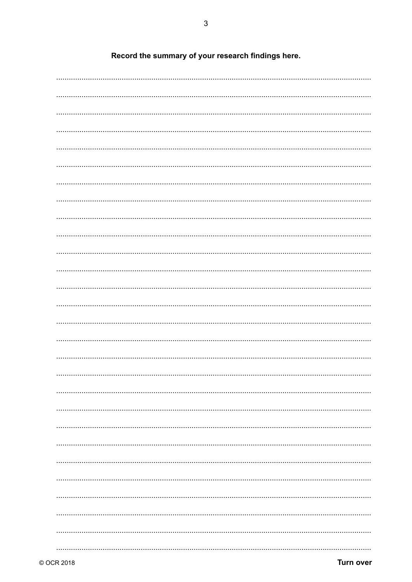Record the summary of your research findings here.